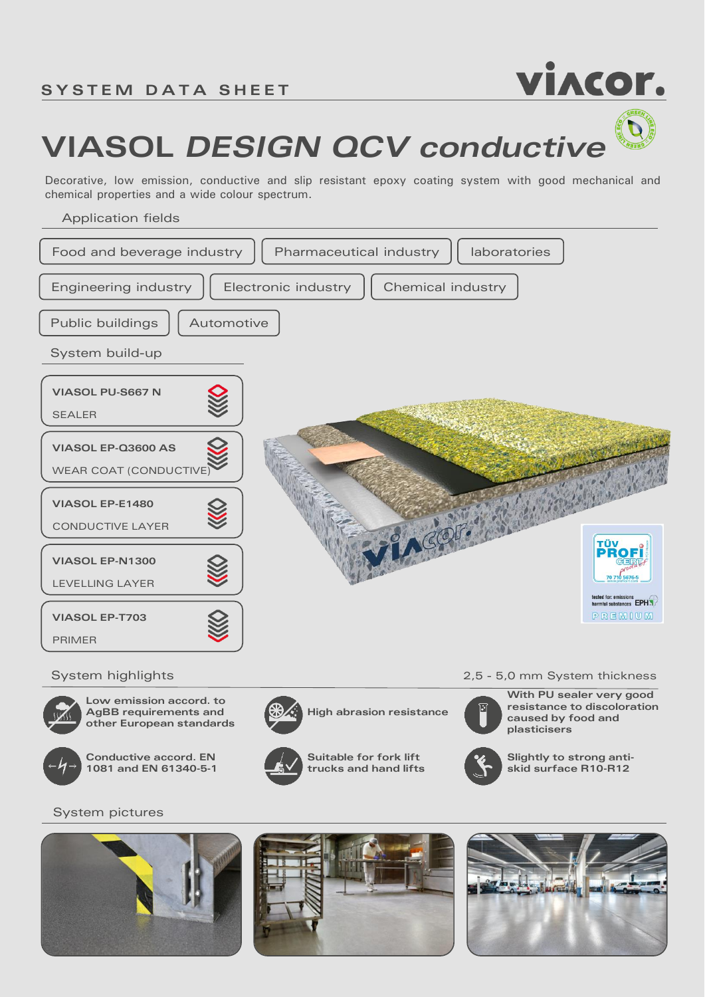

## **VIASOL** *DESIGN QCV conductive*

Decorative, low emission, conductive and slip resistant epoxy coating system with good mechanical and chemical properties and a wide colour spectrum.

Application fields